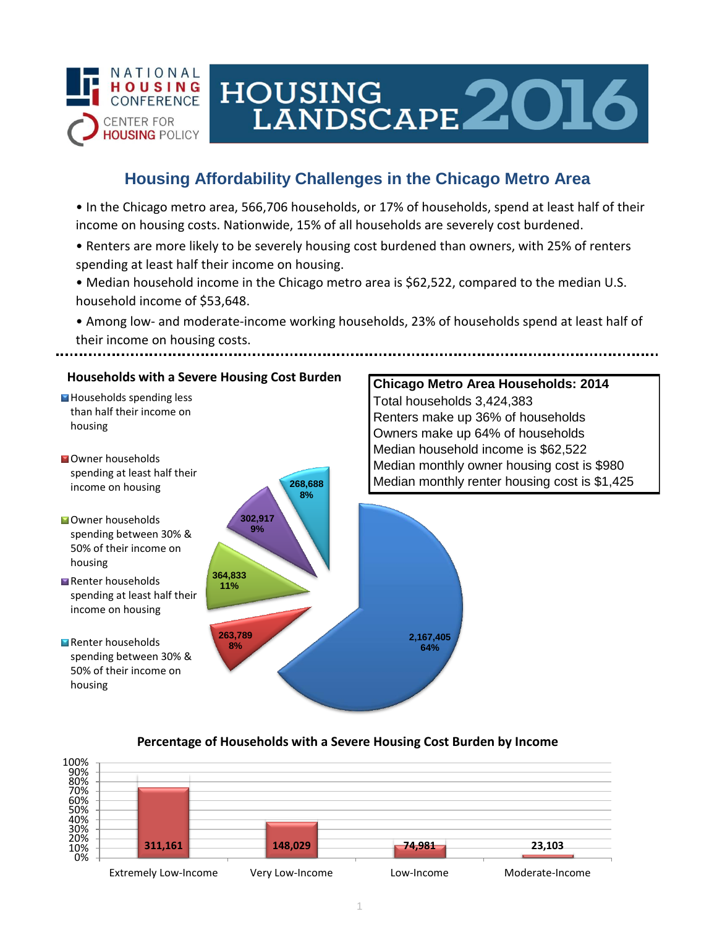

# HOUSING<br>LANDSCAPE 2016

## **Housing Affordability Challenges in the Chicago Metro Area**

• In the Chicago metro area, 566,706 households, or 17% of households, spend at least half of their income on housing costs. Nationwide, 15% of all households are severely cost burdened.

- Renters are more likely to be severely housing cost burdened than owners, with 25% of renters spending at least half their income on housing.
- Median household income in the Chicago metro area is \$62,522, compared to the median U.S. household income of \$53,648.

• Among low- and moderate-income working households, 23% of households spend at least half of their income on housing costs.



### **Percentage of Households with a Severe Housing Cost Burden by Income**